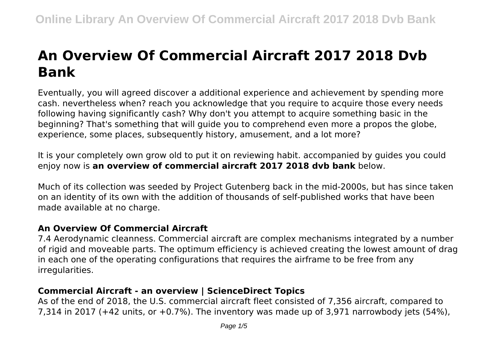# **An Overview Of Commercial Aircraft 2017 2018 Dvb Bank**

Eventually, you will agreed discover a additional experience and achievement by spending more cash. nevertheless when? reach you acknowledge that you require to acquire those every needs following having significantly cash? Why don't you attempt to acquire something basic in the beginning? That's something that will guide you to comprehend even more a propos the globe, experience, some places, subsequently history, amusement, and a lot more?

It is your completely own grow old to put it on reviewing habit. accompanied by guides you could enjoy now is **an overview of commercial aircraft 2017 2018 dvb bank** below.

Much of its collection was seeded by Project Gutenberg back in the mid-2000s, but has since taken on an identity of its own with the addition of thousands of self-published works that have been made available at no charge.

## **An Overview Of Commercial Aircraft**

7.4 Aerodynamic cleanness. Commercial aircraft are complex mechanisms integrated by a number of rigid and moveable parts. The optimum efficiency is achieved creating the lowest amount of drag in each one of the operating configurations that requires the airframe to be free from any irregularities.

# **Commercial Aircraft - an overview | ScienceDirect Topics**

As of the end of 2018, the U.S. commercial aircraft fleet consisted of 7,356 aircraft, compared to 7,314 in 2017 (+42 units, or +0.7%). The inventory was made up of 3,971 narrowbody jets (54%),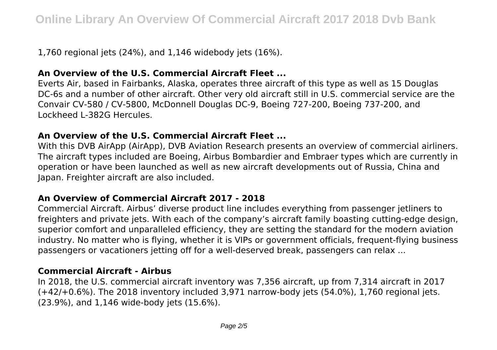1,760 regional jets (24%), and 1,146 widebody jets (16%).

# **An Overview of the U.S. Commercial Aircraft Fleet ...**

Everts Air, based in Fairbanks, Alaska, operates three aircraft of this type as well as 15 Douglas DC-6s and a number of other aircraft. Other very old aircraft still in U.S. commercial service are the Convair CV-580 / CV-5800, McDonnell Douglas DC-9, Boeing 727-200, Boeing 737-200, and Lockheed L-382G Hercules.

## **An Overview of the U.S. Commercial Aircraft Fleet ...**

With this DVB AirApp (AirApp), DVB Aviation Research presents an overview of commercial airliners. The aircraft types included are Boeing, Airbus Bombardier and Embraer types which are currently in operation or have been launched as well as new aircraft developments out of Russia, China and Japan. Freighter aircraft are also included.

## **An Overview of Commercial Aircraft 2017 - 2018**

Commercial Aircraft. Airbus' diverse product line includes everything from passenger jetliners to freighters and private jets. With each of the company's aircraft family boasting cutting-edge design, superior comfort and unparalleled efficiency, they are setting the standard for the modern aviation industry. No matter who is flying, whether it is VIPs or government officials, frequent-flying business passengers or vacationers jetting off for a well-deserved break, passengers can relax ...

## **Commercial Aircraft - Airbus**

In 2018, the U.S. commercial aircraft inventory was 7,356 aircraft, up from 7,314 aircraft in 2017 (+42/+0.6%). The 2018 inventory included 3,971 narrow-body jets (54.0%), 1,760 regional jets. (23.9%), and 1,146 wide-body jets (15.6%).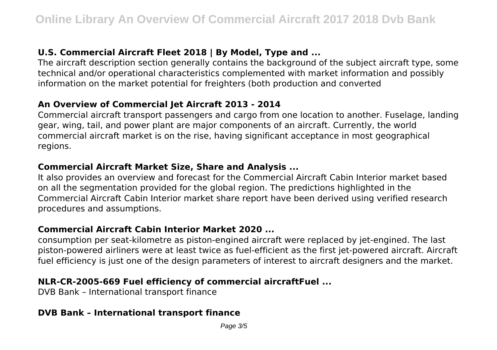# **U.S. Commercial Aircraft Fleet 2018 | By Model, Type and ...**

The aircraft description section generally contains the background of the subject aircraft type, some technical and/or operational characteristics complemented with market information and possibly information on the market potential for freighters (both production and converted

## **An Overview of Commercial Jet Aircraft 2013 - 2014**

Commercial aircraft transport passengers and cargo from one location to another. Fuselage, landing gear, wing, tail, and power plant are major components of an aircraft. Currently, the world commercial aircraft market is on the rise, having significant acceptance in most geographical regions.

#### **Commercial Aircraft Market Size, Share and Analysis ...**

It also provides an overview and forecast for the Commercial Aircraft Cabin Interior market based on all the segmentation provided for the global region. The predictions highlighted in the Commercial Aircraft Cabin Interior market share report have been derived using verified research procedures and assumptions.

## **Commercial Aircraft Cabin Interior Market 2020 ...**

consumption per seat-kilometre as piston-engined aircraft were replaced by jet-engined. The last piston-powered airliners were at least twice as fuel-efficient as the first jet-powered aircraft. Aircraft fuel efficiency is just one of the design parameters of interest to aircraft designers and the market.

## **NLR-CR-2005-669 Fuel efficiency of commercial aircraftFuel ...**

DVB Bank – International transport finance

## **DVB Bank – International transport finance**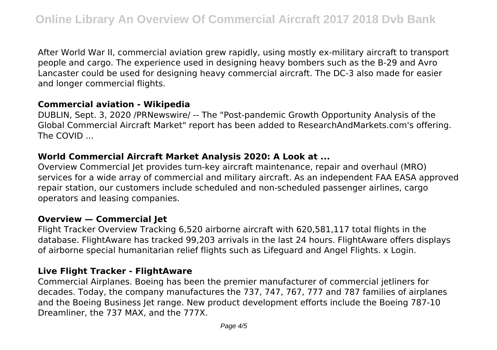After World War II, commercial aviation grew rapidly, using mostly ex-military aircraft to transport people and cargo. The experience used in designing heavy bombers such as the B-29 and Avro Lancaster could be used for designing heavy commercial aircraft. The DC-3 also made for easier and longer commercial flights.

#### **Commercial aviation - Wikipedia**

DUBLIN, Sept. 3, 2020 /PRNewswire/ -- The "Post-pandemic Growth Opportunity Analysis of the Global Commercial Aircraft Market" report has been added to ResearchAndMarkets.com's offering. The COVID ...

#### **World Commercial Aircraft Market Analysis 2020: A Look at ...**

Overview Commercial Jet provides turn-key aircraft maintenance, repair and overhaul (MRO) services for a wide array of commercial and military aircraft. As an independent FAA EASA approved repair station, our customers include scheduled and non-scheduled passenger airlines, cargo operators and leasing companies.

#### **Overview — Commercial Jet**

Flight Tracker Overview Tracking 6,520 airborne aircraft with 620,581,117 total flights in the database. FlightAware has tracked 99,203 arrivals in the last 24 hours. FlightAware offers displays of airborne special humanitarian relief flights such as Lifeguard and Angel Flights. x Login.

#### **Live Flight Tracker - FlightAware**

Commercial Airplanes. Boeing has been the premier manufacturer of commercial jetliners for decades. Today, the company manufactures the 737, 747, 767, 777 and 787 families of airplanes and the Boeing Business Jet range. New product development efforts include the Boeing 787-10 Dreamliner, the 737 MAX, and the 777X.